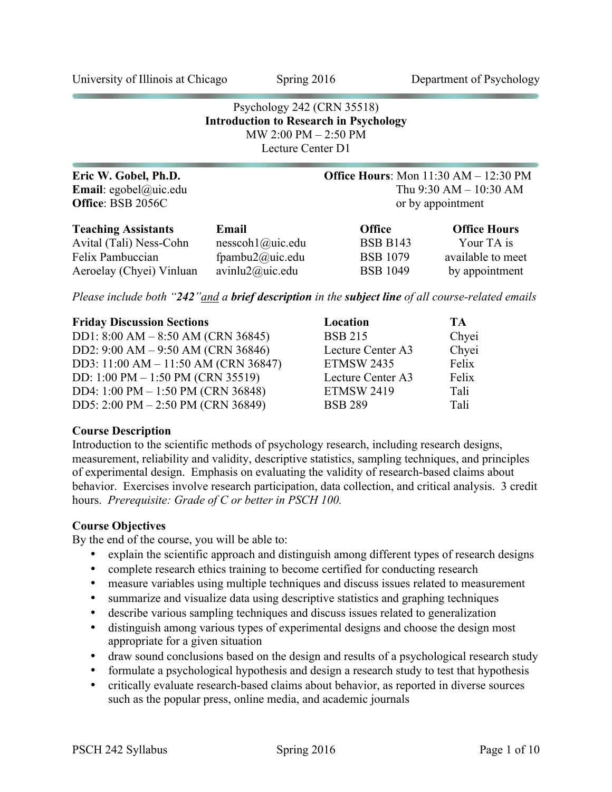University of Illinois at Chicago Spring 2016 Department of Psychology

# Psychology 242 (CRN 35518) **Introduction to Research in Psychology** MW 2:00 PM – 2:50 PM Lecture Center D1

| Eric W. Gobel, Ph.D.          |                                | <b>Office Hours:</b> Mon 11:30 AM - 12:30 PM |                     |  |
|-------------------------------|--------------------------------|----------------------------------------------|---------------------|--|
| <b>Email</b> : egobel@uic.edu |                                | Thu $9:30$ AM $- 10:30$ AM                   |                     |  |
| Office: BSB 2056C             |                                | or by appointment                            |                     |  |
| <b>Teaching Assistants</b>    | Email                          | <b>Office</b>                                | <b>Office Hours</b> |  |
| Avital (Tali) Ness-Cohn       | $nesscoh1$ ( <i>a</i> )uic.edu | <b>BSB B143</b>                              | Your TA is          |  |
| Felix Pambuccian              | fpambu2@uic.edu                | <b>BSB</b> 1079                              | available to meet   |  |
| Aeroelay (Chyei) Vinluan      | avinlu2@uic.edu                | <b>BSB</b> 1049                              | by appointment      |  |

*Please include both "242"and a brief description in the subject line of all course-related emails*

| <b>Friday Discussion Sections</b>    | Location          | <b>TA</b> |
|--------------------------------------|-------------------|-----------|
| DD1: $8:00 AM - 8:50 AM (CRN 36845)$ | <b>BSB 215</b>    | Chyei     |
| DD2: 9:00 AM - 9:50 AM (CRN 36846)   | Lecture Center A3 | Chyei     |
| DD3: 11:00 AM - 11:50 AM (CRN 36847) | <b>ETMSW 2435</b> | Felix     |
| DD: 1:00 PM $-$ 1:50 PM (CRN 35519)  | Lecture Center A3 | Felix     |
| DD4: 1:00 PM - 1:50 PM (CRN 36848)   | <b>ETMSW 2419</b> | Tali      |
| DD5: 2:00 PM $-$ 2:50 PM (CRN 36849) | <b>BSB 289</b>    | Tali      |

#### **Course Description**

Introduction to the scientific methods of psychology research, including research designs, measurement, reliability and validity, descriptive statistics, sampling techniques, and principles of experimental design. Emphasis on evaluating the validity of research-based claims about behavior. Exercises involve research participation, data collection, and critical analysis. 3 credit hours. *Prerequisite: Grade of C or better in PSCH 100.*

# **Course Objectives**

By the end of the course, you will be able to:

- explain the scientific approach and distinguish among different types of research designs
- complete research ethics training to become certified for conducting research
- measure variables using multiple techniques and discuss issues related to measurement
- summarize and visualize data using descriptive statistics and graphing techniques
- describe various sampling techniques and discuss issues related to generalization
- distinguish among various types of experimental designs and choose the design most appropriate for a given situation
- draw sound conclusions based on the design and results of a psychological research study
- formulate a psychological hypothesis and design a research study to test that hypothesis
- critically evaluate research-based claims about behavior, as reported in diverse sources such as the popular press, online media, and academic journals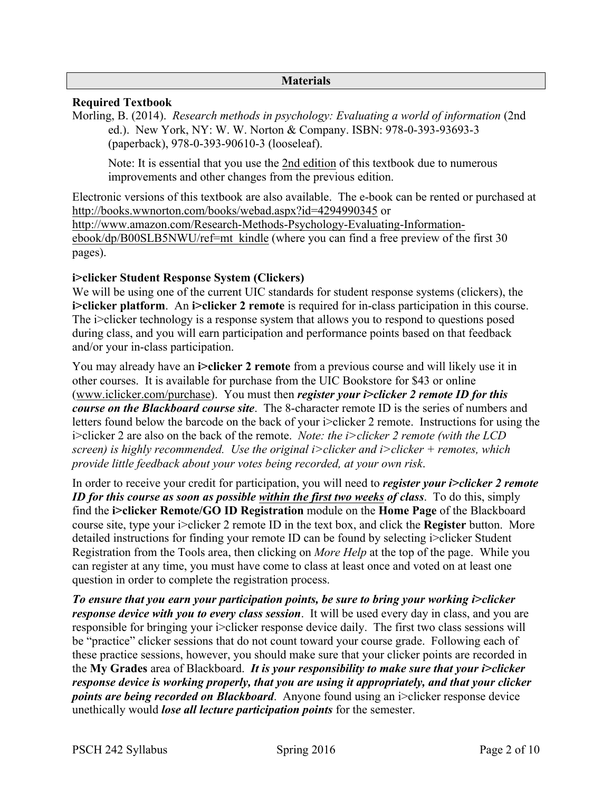#### **Materials**

### **Required Textbook**

Morling, B. (2014). *Research methods in psychology: Evaluating a world of information* (2nd ed.). New York, NY: W. W. Norton & Company. ISBN: 978-0-393-93693-3 (paperback), 978-0-393-90610-3 (looseleaf).

Note: It is essential that you use the 2nd edition of this textbook due to numerous improvements and other changes from the previous edition.

Electronic versions of this textbook are also available. The e-book can be rented or purchased at http://books.wwnorton.com/books/webad.aspx?id=4294990345 or http://www.amazon.com/Research-Methods-Psychology-Evaluating-Informationebook/dp/B00SLB5NWU/ref=mt\_kindle (where you can find a free preview of the first 30 pages).

# **i>clicker Student Response System (Clickers)**

We will be using one of the current UIC standards for student response systems (clickers), the **i>clicker platform**. An **i>clicker 2 remote** is required for in-class participation in this course. The i>clicker technology is a response system that allows you to respond to questions posed during class, and you will earn participation and performance points based on that feedback and/or your in-class participation.

You may already have an **i>clicker 2 remote** from a previous course and will likely use it in other courses. It is available for purchase from the UIC Bookstore for \$43 or online (www.iclicker.com/purchase). You must then *register your i>clicker 2 remote ID for this course on the Blackboard course site*. The 8-character remote ID is the series of numbers and letters found below the barcode on the back of your i>clicker 2 remote. Instructions for using the i>clicker 2 are also on the back of the remote. *Note: the i>clicker 2 remote (with the LCD screen) is highly recommended. Use the original i>clicker and i>clicker + remotes, which provide little feedback about your votes being recorded, at your own risk*.

In order to receive your credit for participation, you will need to *register your i>clicker 2 remote ID for this course as soon as possible within the first two weeks of class*. To do this, simply find the **i>clicker Remote/GO ID Registration** module on the **Home Page** of the Blackboard course site, type your i>clicker 2 remote ID in the text box, and click the **Register** button. More detailed instructions for finding your remote ID can be found by selecting i>clicker Student Registration from the Tools area, then clicking on *More Help* at the top of the page. While you can register at any time, you must have come to class at least once and voted on at least one question in order to complete the registration process.

*To ensure that you earn your participation points, be sure to bring your working i>clicker response device with you to every class session*. It will be used every day in class, and you are responsible for bringing your i>clicker response device daily. The first two class sessions will be "practice" clicker sessions that do not count toward your course grade. Following each of these practice sessions, however, you should make sure that your clicker points are recorded in the **My Grades** area of Blackboard. *It is your responsibility to make sure that your i>clicker response device is working properly, that you are using it appropriately, and that your clicker points are being recorded on Blackboard.* Anyone found using an i>clicker response device unethically would *lose all lecture participation points* for the semester.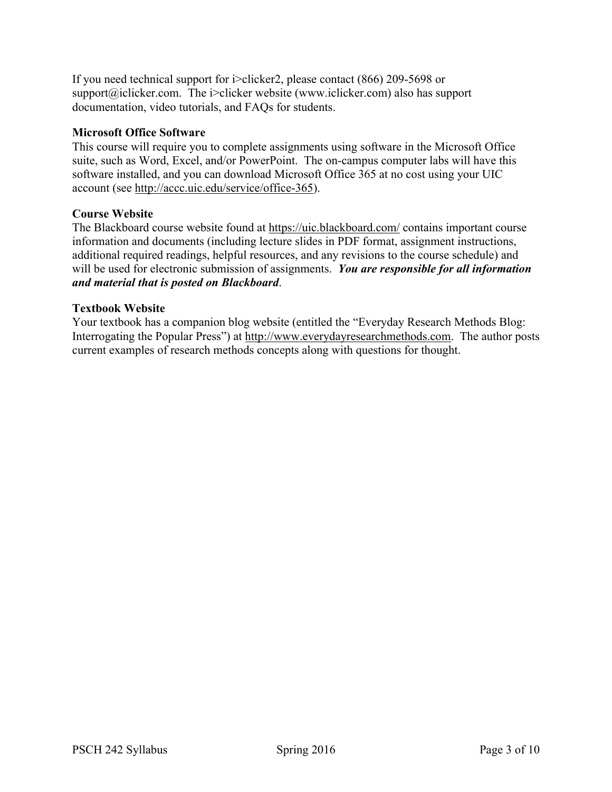If you need technical support for i>clicker2, please contact (866) 209-5698 or support@iclicker.com. The i>clicker website (www.iclicker.com) also has support documentation, video tutorials, and FAQs for students.

# **Microsoft Office Software**

This course will require you to complete assignments using software in the Microsoft Office suite, such as Word, Excel, and/or PowerPoint. The on-campus computer labs will have this software installed, and you can download Microsoft Office 365 at no cost using your UIC account (see http://accc.uic.edu/service/office-365).

# **Course Website**

The Blackboard course website found at https://uic.blackboard.com/ contains important course information and documents (including lecture slides in PDF format, assignment instructions, additional required readings, helpful resources, and any revisions to the course schedule) and will be used for electronic submission of assignments. *You are responsible for all information and material that is posted on Blackboard*.

#### **Textbook Website**

Your textbook has a companion blog website (entitled the "Everyday Research Methods Blog: Interrogating the Popular Press") at http://www.everydayresearchmethods.com. The author posts current examples of research methods concepts along with questions for thought.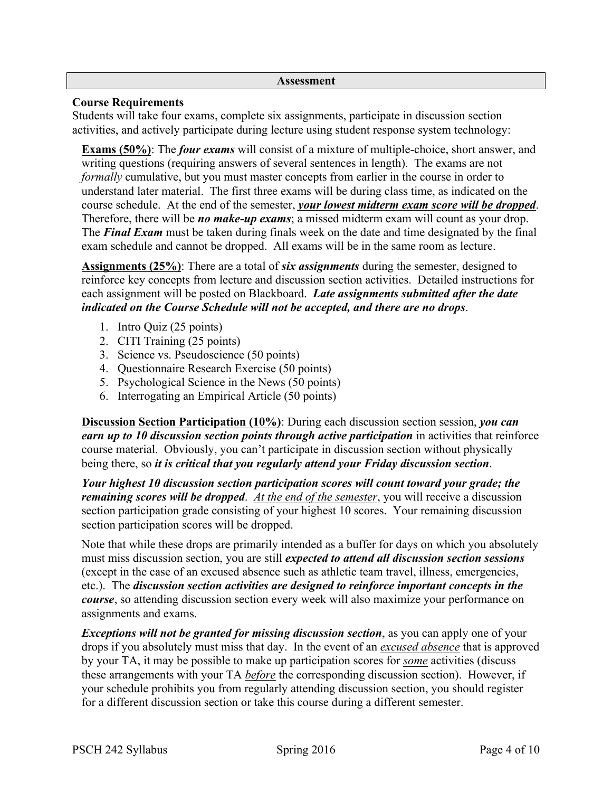#### **Assessment**

### **Course Requirements**

Students will take four exams, complete six assignments, participate in discussion section activities, and actively participate during lecture using student response system technology:

**Exams (50%)**: The *four exams* will consist of a mixture of multiple-choice, short answer, and writing questions (requiring answers of several sentences in length). The exams are not *formally* cumulative, but you must master concepts from earlier in the course in order to understand later material. The first three exams will be during class time, as indicated on the course schedule. At the end of the semester, *your lowest midterm exam score will be dropped*. Therefore, there will be *no make-up exams*; a missed midterm exam will count as your drop. The *Final Exam* must be taken during finals week on the date and time designated by the final exam schedule and cannot be dropped. All exams will be in the same room as lecture.

**Assignments (25%)**: There are a total of *six assignments* during the semester, designed to reinforce key concepts from lecture and discussion section activities. Detailed instructions for each assignment will be posted on Blackboard. *Late assignments submitted after the date indicated on the Course Schedule will not be accepted, and there are no drops*.

- 1. Intro Quiz (25 points)
- 2. CITI Training (25 points)
- 3. Science vs. Pseudoscience (50 points)
- 4. Questionnaire Research Exercise (50 points)
- 5. Psychological Science in the News (50 points)
- 6. Interrogating an Empirical Article (50 points)

**Discussion Section Participation (10%)**: During each discussion section session, *you can earn up to 10 discussion section points through active participation* in activities that reinforce course material. Obviously, you can't participate in discussion section without physically being there, so *it is critical that you regularly attend your Friday discussion section*.

*Your highest 10 discussion section participation scores will count toward your grade; the remaining scores will be dropped*. *At the end of the semester*, you will receive a discussion section participation grade consisting of your highest 10 scores. Your remaining discussion section participation scores will be dropped.

Note that while these drops are primarily intended as a buffer for days on which you absolutely must miss discussion section, you are still *expected to attend all discussion section sessions* (except in the case of an excused absence such as athletic team travel, illness, emergencies, etc.). The *discussion section activities are designed to reinforce important concepts in the course*, so attending discussion section every week will also maximize your performance on assignments and exams.

*Exceptions will not be granted for missing discussion section*, as you can apply one of your drops if you absolutely must miss that day. In the event of an *excused absence* that is approved by your TA, it may be possible to make up participation scores for *some* activities (discuss these arrangements with your TA *before* the corresponding discussion section). However, if your schedule prohibits you from regularly attending discussion section, you should register for a different discussion section or take this course during a different semester.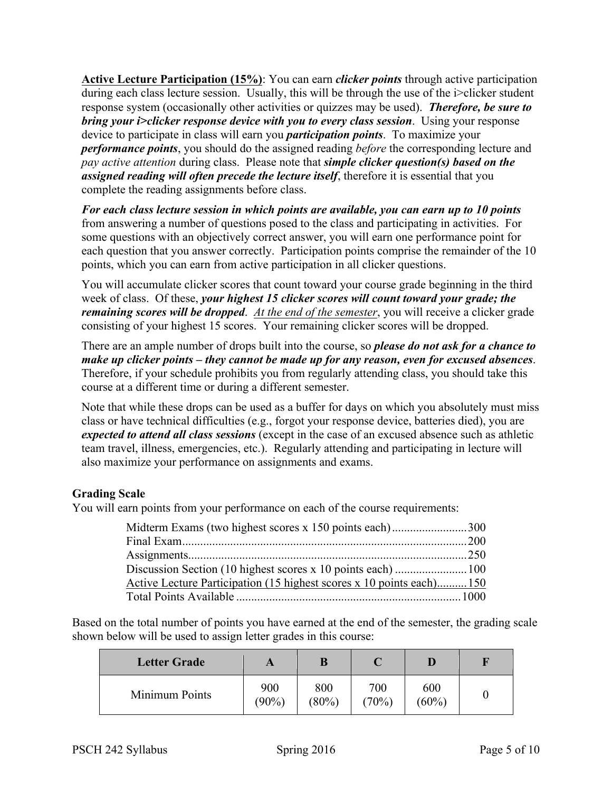**Active Lecture Participation (15%)**: You can earn *clicker points* through active participation during each class lecture session. Usually, this will be through the use of the i>clicker student response system (occasionally other activities or quizzes may be used). *Therefore, be sure to bring your i>clicker response device with you to every class session*. Using your response device to participate in class will earn you *participation points*. To maximize your *performance points*, you should do the assigned reading *before* the corresponding lecture and *pay active attention* during class. Please note that *simple clicker question(s) based on the assigned reading will often precede the lecture itself*, therefore it is essential that you complete the reading assignments before class.

*For each class lecture session in which points are available, you can earn up to 10 points* from answering a number of questions posed to the class and participating in activities. For some questions with an objectively correct answer, you will earn one performance point for each question that you answer correctly. Participation points comprise the remainder of the 10 points, which you can earn from active participation in all clicker questions.

You will accumulate clicker scores that count toward your course grade beginning in the third week of class. Of these, *your highest 15 clicker scores will count toward your grade; the remaining scores will be dropped*. *At the end of the semester*, you will receive a clicker grade consisting of your highest 15 scores. Your remaining clicker scores will be dropped.

There are an ample number of drops built into the course, so *please do not ask for a chance to make up clicker points – they cannot be made up for any reason, even for excused absences*. Therefore, if your schedule prohibits you from regularly attending class, you should take this course at a different time or during a different semester.

Note that while these drops can be used as a buffer for days on which you absolutely must miss class or have technical difficulties (e.g., forgot your response device, batteries died), you are *expected to attend all class sessions* (except in the case of an excused absence such as athletic team travel, illness, emergencies, etc.). Regularly attending and participating in lecture will also maximize your performance on assignments and exams.

# **Grading Scale**

You will earn points from your performance on each of the course requirements:

| Midterm Exams (two highest scores x 150 points each)300              |  |
|----------------------------------------------------------------------|--|
|                                                                      |  |
|                                                                      |  |
|                                                                      |  |
| Active Lecture Participation (15 highest scores x 10 points each)150 |  |
|                                                                      |  |

Based on the total number of points you have earned at the end of the semester, the grading scale shown below will be used to assign letter grades in this course:

| <b>Letter Grade</b> |                 |              |              |                 |  |
|---------------------|-----------------|--------------|--------------|-----------------|--|
| Minimum Points      | 900<br>$(90\%)$ | 800<br>(80%) | 700<br>(70%) | 600<br>$(60\%)$ |  |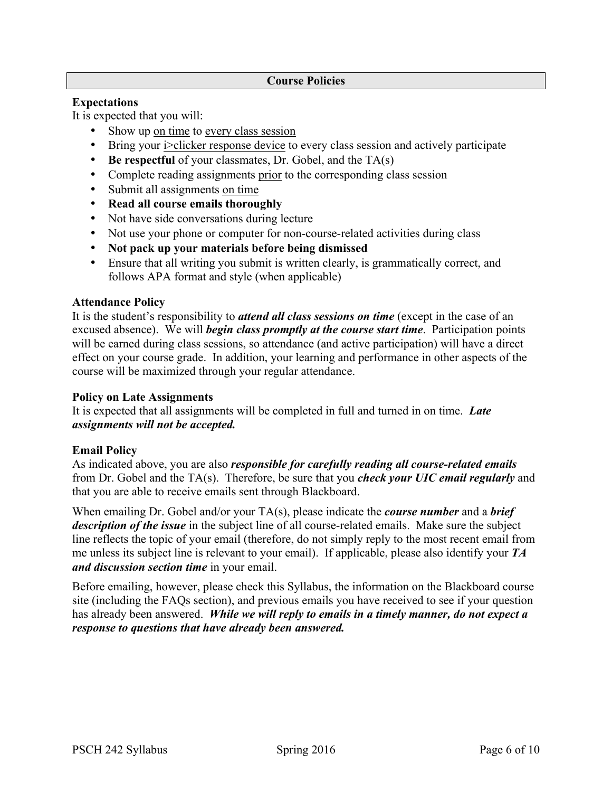#### **Course Policies**

### **Expectations**

It is expected that you will:

- Show up on time to every class session
- Bring your i>clicker response device to every class session and actively participate
- **Be respectful** of your classmates, Dr. Gobel, and the TA(s)
- Complete reading assignments prior to the corresponding class session
- Submit all assignments on time
- **Read all course emails thoroughly**
- Not have side conversations during lecture
- Not use your phone or computer for non-course-related activities during class
- **Not pack up your materials before being dismissed**
- Ensure that all writing you submit is written clearly, is grammatically correct, and follows APA format and style (when applicable)

# **Attendance Policy**

It is the student's responsibility to *attend all class sessions on time* (except in the case of an excused absence). We will *begin class promptly at the course start time*. Participation points will be earned during class sessions, so attendance (and active participation) will have a direct effect on your course grade. In addition, your learning and performance in other aspects of the course will be maximized through your regular attendance.

# **Policy on Late Assignments**

It is expected that all assignments will be completed in full and turned in on time. *Late assignments will not be accepted.*

# **Email Policy**

As indicated above, you are also *responsible for carefully reading all course-related emails* from Dr. Gobel and the TA(s). Therefore, be sure that you *check your UIC email regularly* and that you are able to receive emails sent through Blackboard.

When emailing Dr. Gobel and/or your TA(s), please indicate the *course number* and a *brief description of the issue* in the subject line of all course-related emails. Make sure the subject line reflects the topic of your email (therefore, do not simply reply to the most recent email from me unless its subject line is relevant to your email). If applicable, please also identify your *TA and discussion section time* in your email.

Before emailing, however, please check this Syllabus, the information on the Blackboard course site (including the FAQs section), and previous emails you have received to see if your question has already been answered. *While we will reply to emails in a timely manner, do not expect a response to questions that have already been answered.*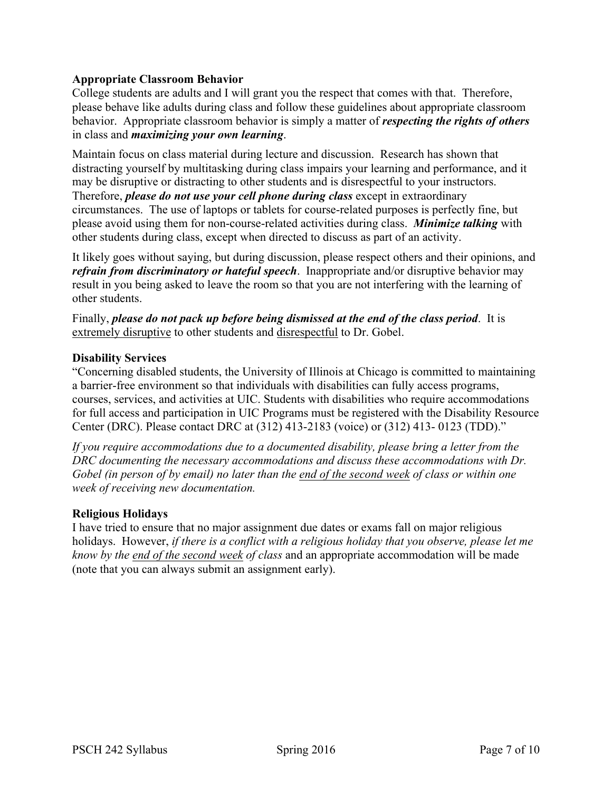# **Appropriate Classroom Behavior**

College students are adults and I will grant you the respect that comes with that. Therefore, please behave like adults during class and follow these guidelines about appropriate classroom behavior. Appropriate classroom behavior is simply a matter of *respecting the rights of others* in class and *maximizing your own learning*.

Maintain focus on class material during lecture and discussion. Research has shown that distracting yourself by multitasking during class impairs your learning and performance, and it may be disruptive or distracting to other students and is disrespectful to your instructors. Therefore, *please do not use your cell phone during class* except in extraordinary circumstances. The use of laptops or tablets for course-related purposes is perfectly fine, but please avoid using them for non-course-related activities during class. *Minimize talking* with other students during class, except when directed to discuss as part of an activity.

It likely goes without saying, but during discussion, please respect others and their opinions, and *refrain from discriminatory or hateful speech*. Inappropriate and/or disruptive behavior may result in you being asked to leave the room so that you are not interfering with the learning of other students.

Finally, *please do not pack up before being dismissed at the end of the class period*. It is extremely disruptive to other students and disrespectful to Dr. Gobel.

#### **Disability Services**

"Concerning disabled students, the University of Illinois at Chicago is committed to maintaining a barrier-free environment so that individuals with disabilities can fully access programs, courses, services, and activities at UIC. Students with disabilities who require accommodations for full access and participation in UIC Programs must be registered with the Disability Resource Center (DRC). Please contact DRC at (312) 413-2183 (voice) or (312) 413- 0123 (TDD)."

*If you require accommodations due to a documented disability, please bring a letter from the DRC documenting the necessary accommodations and discuss these accommodations with Dr. Gobel (in person of by email) no later than the end of the second week of class or within one week of receiving new documentation.*

#### **Religious Holidays**

I have tried to ensure that no major assignment due dates or exams fall on major religious holidays. However, *if there is a conflict with a religious holiday that you observe, please let me know by the end of the second week of class* and an appropriate accommodation will be made (note that you can always submit an assignment early).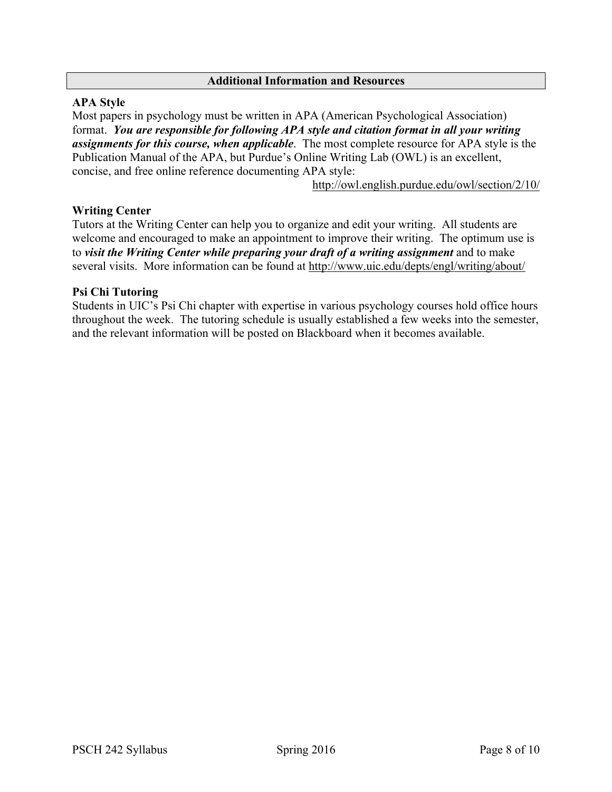#### **Additional Information and Resources**

### **APA Style**

Most papers in psychology must be written in APA (American Psychological Association) format. *You are responsible for following APA style and citation format in all your writing assignments for this course, when applicable*. The most complete resource for APA style is the Publication Manual of the APA, but Purdue's Online Writing Lab (OWL) is an excellent, concise, and free online reference documenting APA style:

http://owl.english.purdue.edu/owl/section/2/10/

#### **Writing Center**

Tutors at the Writing Center can help you to organize and edit your writing. All students are welcome and encouraged to make an appointment to improve their writing. The optimum use is to *visit the Writing Center while preparing your draft of a writing assignment* and to make several visits. More information can be found at http://www.uic.edu/depts/engl/writing/about/

#### **Psi Chi Tutoring**

Students in UIC's Psi Chi chapter with expertise in various psychology courses hold office hours throughout the week. The tutoring schedule is usually established a few weeks into the semester, and the relevant information will be posted on Blackboard when it becomes available.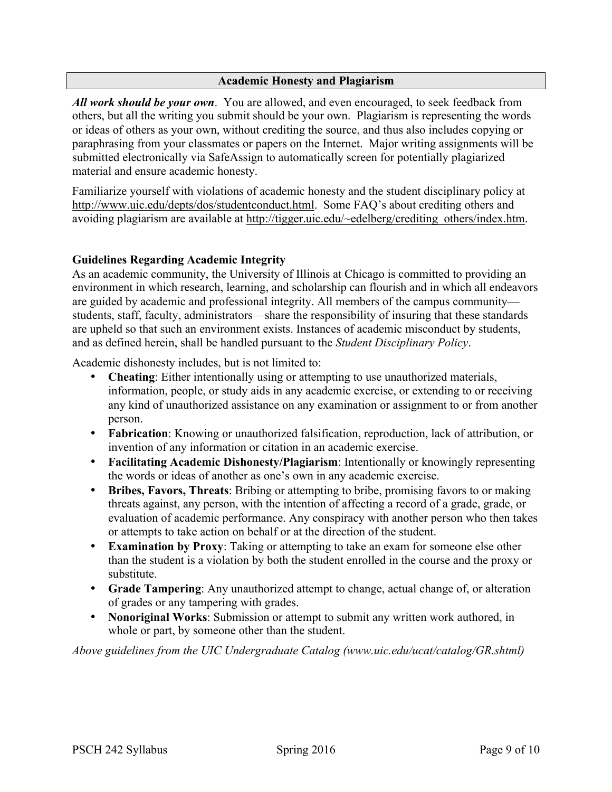### **Academic Honesty and Plagiarism**

*All work should be your own*. You are allowed, and even encouraged, to seek feedback from others, but all the writing you submit should be your own. Plagiarism is representing the words or ideas of others as your own, without crediting the source, and thus also includes copying or paraphrasing from your classmates or papers on the Internet. Major writing assignments will be submitted electronically via SafeAssign to automatically screen for potentially plagiarized material and ensure academic honesty.

Familiarize yourself with violations of academic honesty and the student disciplinary policy at http://www.uic.edu/depts/dos/studentconduct.html. Some FAQ's about crediting others and avoiding plagiarism are available at http://tigger.uic.edu/~edelberg/crediting\_others/index.htm.

# **Guidelines Regarding Academic Integrity**

As an academic community, the University of Illinois at Chicago is committed to providing an environment in which research, learning, and scholarship can flourish and in which all endeavors are guided by academic and professional integrity. All members of the campus community students, staff, faculty, administrators—share the responsibility of insuring that these standards are upheld so that such an environment exists. Instances of academic misconduct by students, and as defined herein, shall be handled pursuant to the *Student Disciplinary Policy*.

Academic dishonesty includes, but is not limited to:

- **Cheating**: Either intentionally using or attempting to use unauthorized materials, information, people, or study aids in any academic exercise, or extending to or receiving any kind of unauthorized assistance on any examination or assignment to or from another person.
- **Fabrication**: Knowing or unauthorized falsification, reproduction, lack of attribution, or invention of any information or citation in an academic exercise.
- **Facilitating Academic Dishonesty/Plagiarism**: Intentionally or knowingly representing the words or ideas of another as one's own in any academic exercise.
- **Bribes, Favors, Threats**: Bribing or attempting to bribe, promising favors to or making threats against, any person, with the intention of affecting a record of a grade, grade, or evaluation of academic performance. Any conspiracy with another person who then takes or attempts to take action on behalf or at the direction of the student.
- **Examination by Proxy**: Taking or attempting to take an exam for someone else other than the student is a violation by both the student enrolled in the course and the proxy or substitute.
- **Grade Tampering**: Any unauthorized attempt to change, actual change of, or alteration of grades or any tampering with grades.
- **Nonoriginal Works**: Submission or attempt to submit any written work authored, in whole or part, by someone other than the student.

*Above guidelines from the UIC Undergraduate Catalog (www.uic.edu/ucat/catalog/GR.shtml)*